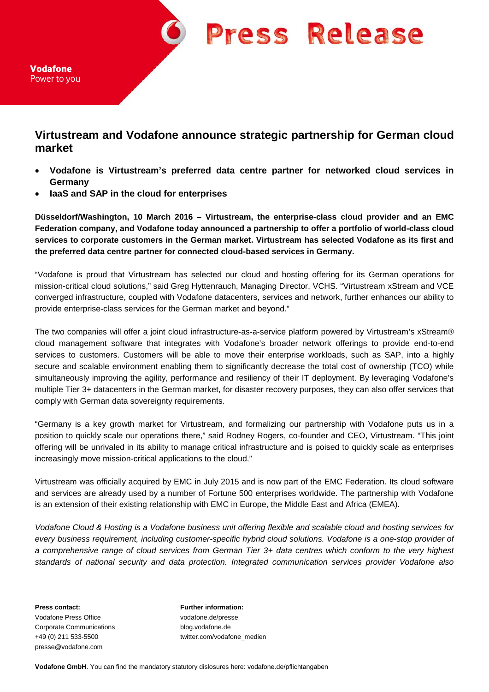**Press Release** 

Vodafone Power to you

## **Virtustream and Vodafone announce strategic partnership for German cloud market**

- **Vodafone is Virtustream's preferred data centre partner for networked cloud services in Germany**
- **IaaS and SAP in the cloud for enterprises**

**Düsseldorf/Washington, 10 March 2016 – Virtustream, the enterprise-class cloud provider and an EMC Federation company, and Vodafone today announced a partnership to offer a portfolio of world-class cloud services to corporate customers in the German market. Virtustream has selected Vodafone as its first and the preferred data centre partner for connected cloud-based services in Germany.** 

"Vodafone is proud that Virtustream has selected our cloud and hosting offering for its German operations for mission-critical cloud solutions," said Greg Hyttenrauch, Managing Director, VCHS. "Virtustream xStream and VCE converged infrastructure, coupled with Vodafone datacenters, services and network, further enhances our ability to provide enterprise-class services for the German market and beyond."

The two companies will offer a joint cloud infrastructure-as-a-service platform powered by Virtustream's xStream® cloud management software that integrates with Vodafone's broader network offerings to provide end-to-end services to customers. Customers will be able to move their enterprise workloads, such as SAP, into a highly secure and scalable environment enabling them to significantly decrease the total cost of ownership (TCO) while simultaneously improving the agility, performance and resiliency of their IT deployment. By leveraging Vodafone's multiple Tier 3+ datacenters in the German market, for disaster recovery purposes, they can also offer services that comply with German data sovereignty requirements.

"Germany is a key growth market for Virtustream, and formalizing our partnership with Vodafone puts us in a position to quickly scale our operations there," said Rodney Rogers, co-founder and CEO, Virtustream. "This joint offering will be unrivaled in its ability to manage critical infrastructure and is poised to quickly scale as enterprises increasingly move mission-critical applications to the cloud."

Virtustream was officially acquired by EMC in July 2015 and is now part of the EMC Federation. Its cloud software and services are already used by a number of Fortune 500 enterprises worldwide. The partnership with Vodafone is an extension of their existing relationship with EMC in Europe, the Middle East and Africa (EMEA).

*Vodafone Cloud & Hosting is a Vodafone business unit offering flexible and scalable cloud and hosting services for every business requirement, including customer-specific hybrid cloud solutions. Vodafone is a one-stop provider of a comprehensive range of cloud services from German Tier 3+ data centres which conform to the very highest standards of national security and data protection. Integrated communication services provider Vodafone also* 

**Press contact: Further information:** Vodafone Press Office vodafone.de/presse Corporate Communications blog.vodafone.de presse@vodafone.com

+49 (0) 211 533-5500 twitter.com/vodafone\_medien

**Vodafone GmbH**. You can find the mandatory statutory dislosures here: vodafone.de/pflichtangaben